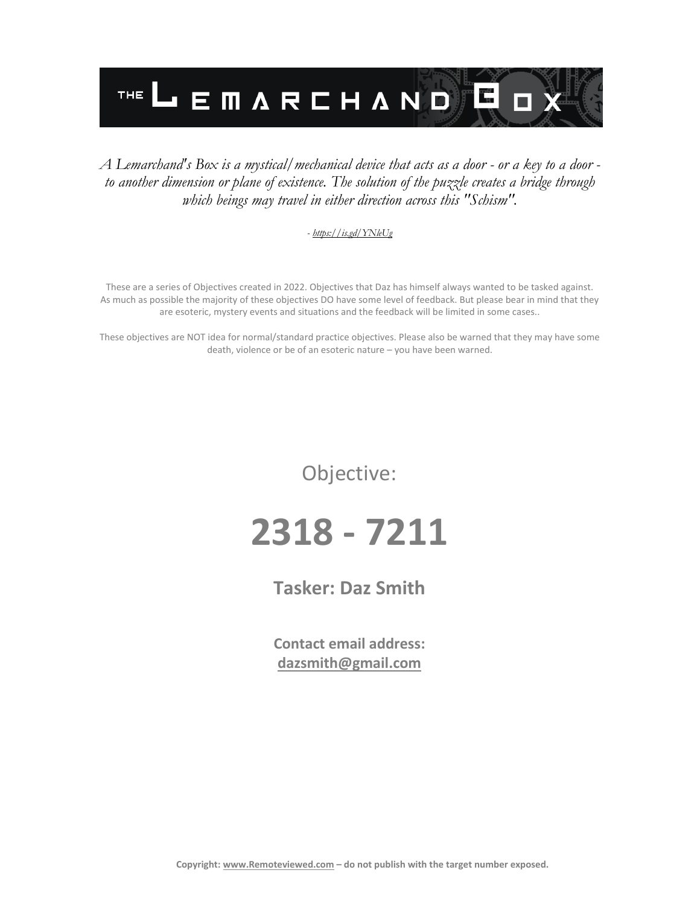

#### *A Lemarchand's Box is a mystical/mechanical device that acts as a door - or a key to a door to another dimension or plane of existence. The solution of the puzzle creates a bridge through which beings may travel in either direction across this "Schism".*

#### *- <https://is.gd/YNleUg>*

These are a series of Objectives created in 2022. Objectives that Daz has himself always wanted to be tasked against. As much as possible the majority of these objectives DO have some level of feedback. But please bear in mind that they are esoteric, mystery events and situations and the feedback will be limited in some cases..

These objectives are NOT idea for normal/standard practice objectives. Please also be warned that they may have some death, violence or be of an esoteric nature – you have been warned.

Objective:

# **2318 - 7211**

### **Tasker: Daz Smith**

**Contact email address: [dazsmith@gmail.com](mailto:dazsmith@gmail.com)**